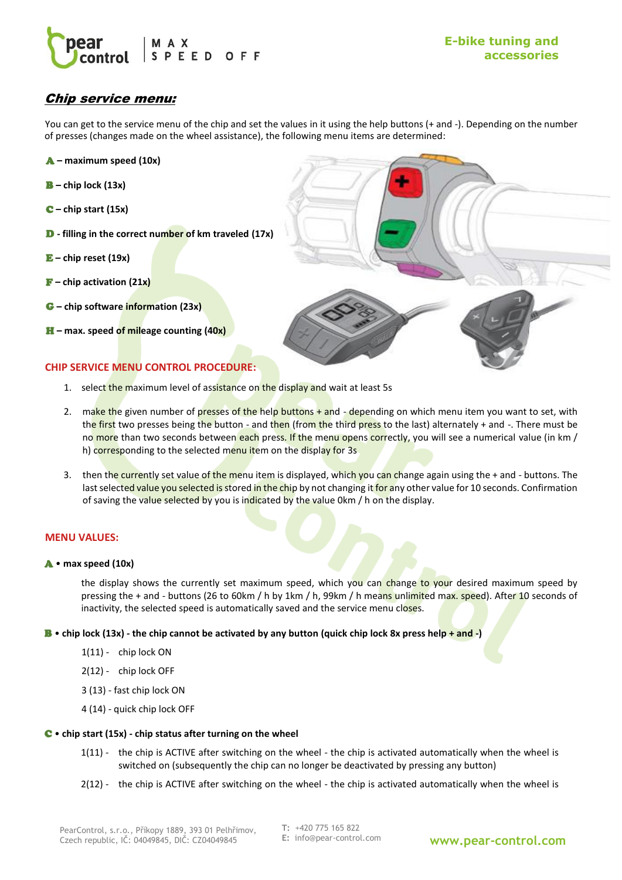

# Chip service menu:

You can get to the service menu of the chip and set the values in it using the help buttons (+ and -). Depending on the number of presses (changes made on the wheel assistance), the following menu items are determined:

- A **– maximum speed (10x)**
- B **– chip lock (13x)**
- C **– chip start (15x)**
- D **- filling in the correct number of km traveled (17x)**
- E **– chip reset (19x)**
- F **– chip activation (21x)**
- G **– chip software information (23x)**
- H **– max. speed of mileage counting (40x)**

# **CHIP SERVICE MENU CONTROL PROCEDURE:**

- 1. select the maximum level of assistance on the display and wait at least 5s
- 2. make the given number of presses of the help buttons + and depending on which menu item you want to set, with the first two presses being the button - and then (from the third press to the last) alternately + and  $\overline{\cdot}$ . There must be no more than two seconds between each press. If the menu opens correctly, you will see a numerical value (in km / h) corresponding to the selected menu item on the display for 3s
- 3. then the currently set value of the menu item is displayed, which you can change again using the + and buttons. The last selected value you selected is stored in the chip by not changing it for any other value for 10 seconds. Confirmation of saving the value selected by you is indicated by the value 0km / h on the display.

## **MENU VALUES:**

### A • **max speed (10x)**

the display shows the currently set maximum speed, which you can change to your desired maximum speed by pressing the + and - buttons (26 to 60km / h by 1km / h, 99km / h means unlimited max. speed). After 10 seconds of inactivity, the selected speed is automatically saved and the service menu closes.

### B • **chip lock (13x) - the chip cannot be activated by any button (quick chip lock 8x press help + and -)**

- 1(11) chip lock ON
- 2(12) chip lock OFF
- 3 (13) fast chip lock ON
- 4 (14) quick chip lock OFF

### C • **chip start (15x) - chip status after turning on the wheel**

- 1(11) the chip is ACTIVE after switching on the wheel the chip is activated automatically when the wheel is switched on (subsequently the chip can no longer be deactivated by pressing any button)
- 2(12) the chip is ACTIVE after switching on the wheel the chip is activated automatically when the wheel is